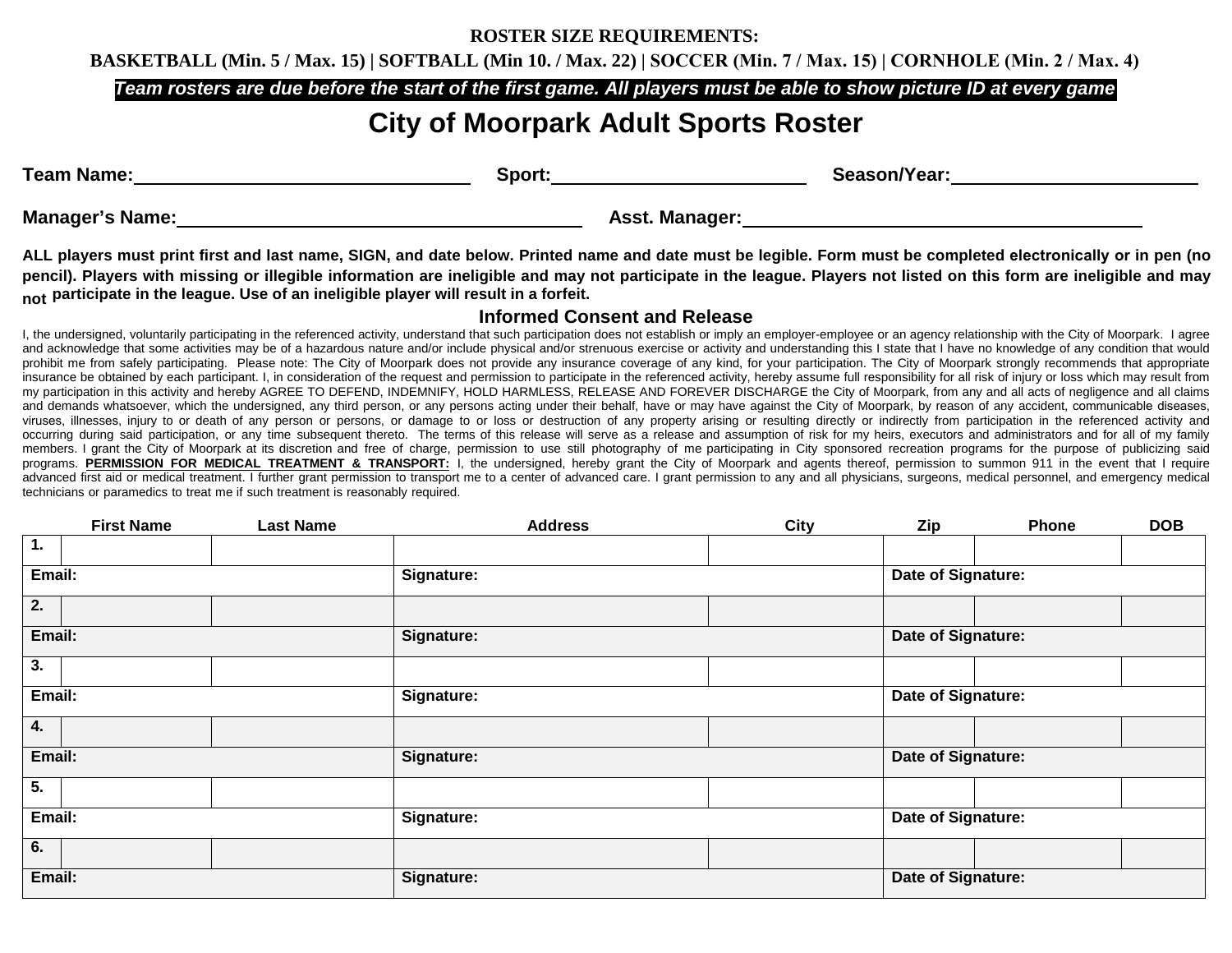### **ROSTER SIZE REQUIREMENTS:**

**BASKETBALL (Min. 5 / Max. 15) | SOFTBALL (Min 10. / Max. 22) | SOCCER (Min. 7 / Max. 15) | CORNHOLE (Min. 2 / Max. 4)**

*Team rosters are due before the start of the first game. All players must be able to show picture ID at every game*

# **City of Moorpark Adult Sports Roster**

| <b>Team Name:</b>      | Sport:         | Season/Year: |  |
|------------------------|----------------|--------------|--|
| <b>Manager's Name:</b> | Asst. Manager: |              |  |

*<sup>T</sup>***ALL players must print first and last name, SIGN, and date below. Printed name and date must be legible. Form must be completed electronically or in pen (no pencil). Players with missing or illegible information are ineligible and may not participate in the league. Players not listed on this form are ineligible and may not participate in the league. Use of an ineligible player will result in a forfeit.** 

## **Informed Consent and Release**

I, the undersigned, voluntarily participating in the referenced activity, understand that such participation does not establish or imply an employer-employee or an agency relationship with the City of Moorpark. I agree and acknowledge that some activities may be of a hazardous nature and/or include physical and/or strenuous exercise or activity and understanding this I state that I have no knowledge of any condition that would prohibit me from safely participating. Please note: The City of Moorpark does not provide any insurance coverage of any kind, for your participation. The City of Moorpark strongly recommends that appropriate insurance be obtained by each participant. I, in consideration of the request and permission to participate in the referenced activity, hereby assume full responsibility for all risk of injury or loss which may result from my participation in this activity and hereby AGREE TO DEFEND, INDEMNIFY, HOLD HARMLESS, RELEASE AND FOREVER DISCHARGE the City of Moorpark, from any and all acts of negligence and all claims and demands whatsoever, which the undersigned, any third person, or any persons acting under their behalf, have or may have against the City of Moorpark, by reason of any accident, communicable diseases, viruses, illnesses, injury to or death of any person or persons, or damage to or loss or destruction of any property arising or resulting directly or indirectly from participation in the referenced activity and occurring during said participation, or any time subsequent thereto. The terms of this release will serve as a release and assumption of risk for my heirs, executors and administrators and for all of my family members. I grant the City of Moorpark at its discretion and free of charge, permission to use still photography of me participating in City sponsored recreation programs for the purpose of publicizing said programs. PERMISSION FOR MEDICAL TREATMENT & TRANSPORT: I. the undersigned, hereby grant the City of Moorpark and agents thereof, permission to summon 911 in the event that I require advanced first aid or medical treatment. I further grant permission to transport me to a center of advanced care. I grant permission to any and all physicians, surgeons, medical personnel, and emergency medical technicians or paramedics to treat me if such treatment is reasonably required.

|        | <b>First Name</b> | <b>Last Name</b> | <b>Address</b> | City | Zip                | Phone | <b>DOB</b> |
|--------|-------------------|------------------|----------------|------|--------------------|-------|------------|
| 1.     |                   |                  |                |      |                    |       |            |
| Email: |                   |                  | Signature:     |      | Date of Signature: |       |            |
| 2.     |                   |                  |                |      |                    |       |            |
| Email: |                   |                  | Signature:     |      | Date of Signature: |       |            |
| 3.     |                   |                  |                |      |                    |       |            |
| Email: |                   |                  | Signature:     |      | Date of Signature: |       |            |
| 4.     |                   |                  |                |      |                    |       |            |
| Email: |                   |                  | Signature:     |      | Date of Signature: |       |            |
| 5.     |                   |                  |                |      |                    |       |            |
| Email: |                   |                  | Signature:     |      | Date of Signature: |       |            |
| 6.     |                   |                  |                |      |                    |       |            |
| Email: |                   |                  | Signature:     |      | Date of Signature: |       |            |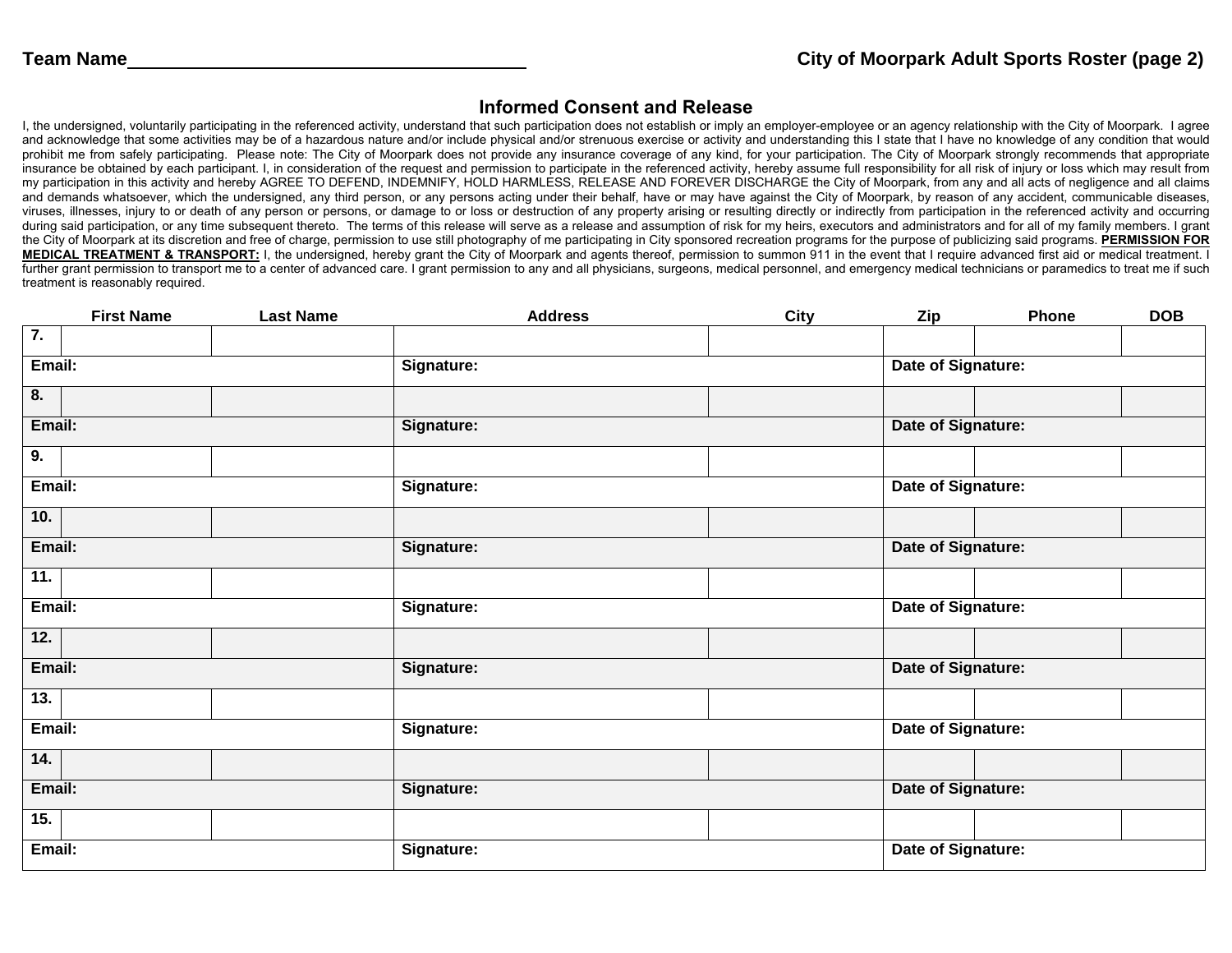## **Informed Consent and Release**

I, the undersigned, voluntarily participating in the referenced activity, understand that such participation does not establish or imply an employer-employee or an agency relationship with the City of Moorpark. I agree and acknowledge that some activities may be of a hazardous nature and/or include physical and/or strenuous exercise or activity and understanding this I state that I have no knowledge of any condition that would prohibit me from safely participating. Please note: The City of Moorpark does not provide any insurance coverage of any kind, for your participation. The City of Moorpark strongly recommends that appropriate insurance be obtained by each participant. I, in consideration of the request and permission to participate in the referenced activity, hereby assume full responsibility for all risk of injury or loss which may result from my participation in this activity and hereby AGREE TO DEFEND, INDEMNIFY, HOLD HARMLESS, RELEASE AND FOREVER DISCHARGE the City of Moorpark, from any and all acts of negligence and all claims and demands whatsoever, which the undersigned, any third person, or any persons acting under their behalf, have or may have against the City of Moorpark, by reason of any accident, communicable diseases, viruses, illnesses, injury to or death of any person or persons, or damage to or loss or destruction of any property arising or resulting directly or indirectly from participation in the referenced activity and occurring during said participation, or any time subsequent thereto. The terms of this release will serve as a release and assumption of risk for my heirs, executors and administrators and for all of my family members. I grant the City of Moorpark at its discretion and free of charge, permission to use still photography of me participating in City sponsored recreation programs for the purpose of publicizing said programs. **PERMISSION FOR MEDICAL TREATMENT & TRANSPORT:** I, the undersigned, hereby grant the City of Moorpark and agents thereof, permission to summon 911 in the event that I require advanced first aid or medical treatment. I further grant permission to transport me to a center of advanced care. I grant permission to any and all physicians, surgeons, medical personnel, and emergency medical technicians or paramedics to treat me if such treatment is reasonably required.

|                  | <b>First Name</b> | <b>Last Name</b> | <b>Address</b> | <b>City</b>        | Zip                       | Phone              | <b>DOB</b> |  |
|------------------|-------------------|------------------|----------------|--------------------|---------------------------|--------------------|------------|--|
| $\overline{7}$ . |                   |                  |                |                    |                           |                    |            |  |
| Email:           |                   |                  | Signature:     |                    |                           | Date of Signature: |            |  |
| 8.               |                   |                  |                |                    |                           |                    |            |  |
|                  | Email:            |                  | Signature:     |                    | Date of Signature:        |                    |            |  |
| 9.               |                   |                  |                |                    |                           |                    |            |  |
| Email:           |                   |                  | Signature:     |                    | Date of Signature:        |                    |            |  |
| 10.              |                   |                  |                |                    |                           |                    |            |  |
| Email:           |                   |                  | Signature:     |                    | <b>Date of Signature:</b> |                    |            |  |
| 11.              |                   |                  |                |                    |                           |                    |            |  |
| Email:           |                   |                  | Signature:     |                    | Date of Signature:        |                    |            |  |
| 12.              |                   |                  |                |                    |                           |                    |            |  |
| Email:           |                   |                  | Signature:     |                    | Date of Signature:        |                    |            |  |
| 13.              |                   |                  |                |                    |                           |                    |            |  |
| Email:           |                   |                  | Signature:     |                    | Date of Signature:        |                    |            |  |
| 14.              |                   |                  |                |                    |                           |                    |            |  |
| Email:           |                   |                  | Signature:     |                    | Date of Signature:        |                    |            |  |
| 15.              |                   |                  |                |                    |                           |                    |            |  |
| Email:           | Signature:        |                  |                | Date of Signature: |                           |                    |            |  |